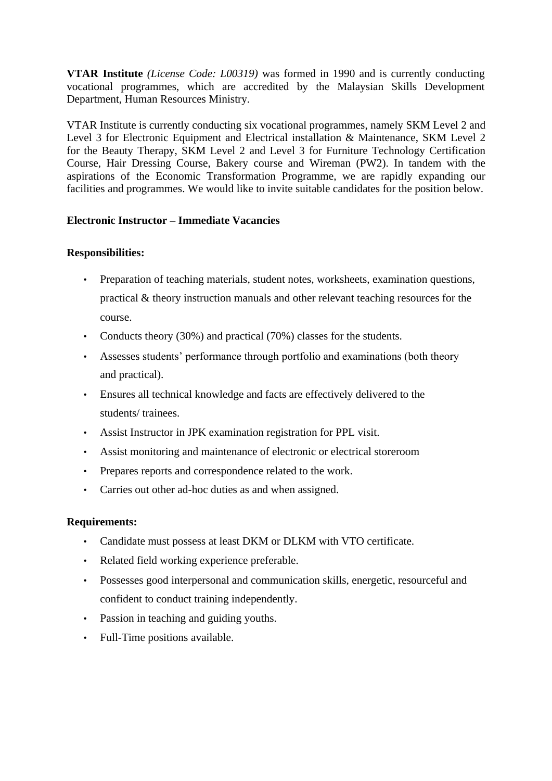**VTAR Institute** *(License Code: L00319)* was formed in 1990 and is currently conducting vocational programmes, which are accredited by the Malaysian Skills Development Department, Human Resources Ministry.

VTAR Institute is currently conducting six vocational programmes, namely SKM Level 2 and Level 3 for Electronic Equipment and Electrical installation & Maintenance, SKM Level 2 for the Beauty Therapy, SKM Level 2 and Level 3 for Furniture Technology Certification Course, Hair Dressing Course, Bakery course and Wireman (PW2). In tandem with the aspirations of the Economic Transformation Programme, we are rapidly expanding our facilities and programmes. We would like to invite suitable candidates for the position below.

## **Electronic Instructor – Immediate Vacancies**

## **Responsibilities:**

- Preparation of teaching materials, student notes, worksheets, examination questions, practical & theory instruction manuals and other relevant teaching resources for the course.
- Conducts theory (30%) and practical (70%) classes for the students.
- Assesses students' performance through portfolio and examinations (both theory and practical).
- Ensures all technical knowledge and facts are effectively delivered to the students/ trainees.
- Assist Instructor in JPK examination registration for PPL visit.
- Assist monitoring and maintenance of electronic or electrical storeroom
- Prepares reports and correspondence related to the work.
- Carries out other ad-hoc duties as and when assigned.

## **Requirements:**

- Candidate must possess at least DKM or DLKM with VTO certificate.
- Related field working experience preferable.
- Possesses good interpersonal and communication skills, energetic, resourceful and confident to conduct training independently.
- Passion in teaching and guiding youths.
- Full-Time positions available.